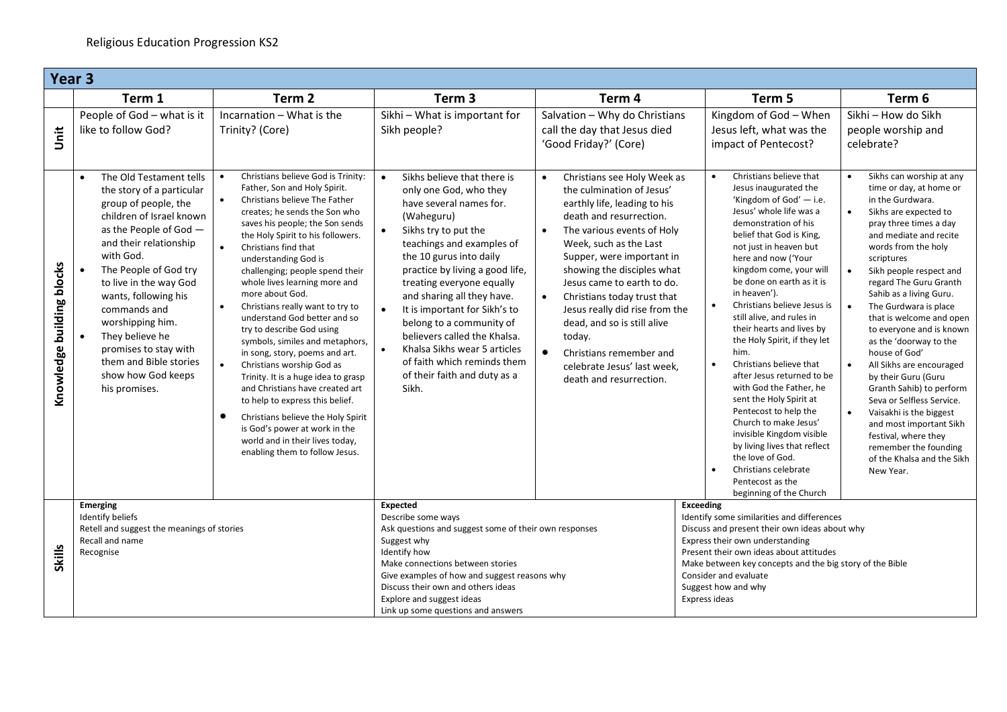|                           | Year 3                                                                                                                                                                                                                                                                                                                                                                                                                          |                                                                                                                                                                                                                                                                                                                                                                                                                                                                                                                                                                                                                                                                                                                                                                                                                                                                                               |                                                                                                                                                                                                                                                                                                                                                                                                                                                                                                                                       |                                                                                                                                                                                                                                                                                                                                                                                                                                                                                                            |                                                                                                                                                                                                                                                                                                                                                                                                                                                                                                                                                                                                                                                                                                                                                                           |                                                                                                                                                                                                                                                                                                                                                                                                                                                                                                                                                                                                                                                                                                                                      |  |  |
|---------------------------|---------------------------------------------------------------------------------------------------------------------------------------------------------------------------------------------------------------------------------------------------------------------------------------------------------------------------------------------------------------------------------------------------------------------------------|-----------------------------------------------------------------------------------------------------------------------------------------------------------------------------------------------------------------------------------------------------------------------------------------------------------------------------------------------------------------------------------------------------------------------------------------------------------------------------------------------------------------------------------------------------------------------------------------------------------------------------------------------------------------------------------------------------------------------------------------------------------------------------------------------------------------------------------------------------------------------------------------------|---------------------------------------------------------------------------------------------------------------------------------------------------------------------------------------------------------------------------------------------------------------------------------------------------------------------------------------------------------------------------------------------------------------------------------------------------------------------------------------------------------------------------------------|------------------------------------------------------------------------------------------------------------------------------------------------------------------------------------------------------------------------------------------------------------------------------------------------------------------------------------------------------------------------------------------------------------------------------------------------------------------------------------------------------------|---------------------------------------------------------------------------------------------------------------------------------------------------------------------------------------------------------------------------------------------------------------------------------------------------------------------------------------------------------------------------------------------------------------------------------------------------------------------------------------------------------------------------------------------------------------------------------------------------------------------------------------------------------------------------------------------------------------------------------------------------------------------------|--------------------------------------------------------------------------------------------------------------------------------------------------------------------------------------------------------------------------------------------------------------------------------------------------------------------------------------------------------------------------------------------------------------------------------------------------------------------------------------------------------------------------------------------------------------------------------------------------------------------------------------------------------------------------------------------------------------------------------------|--|--|
|                           | Term 1                                                                                                                                                                                                                                                                                                                                                                                                                          | Term <sub>2</sub>                                                                                                                                                                                                                                                                                                                                                                                                                                                                                                                                                                                                                                                                                                                                                                                                                                                                             | Term <sub>3</sub>                                                                                                                                                                                                                                                                                                                                                                                                                                                                                                                     | Term 4                                                                                                                                                                                                                                                                                                                                                                                                                                                                                                     | Term 5                                                                                                                                                                                                                                                                                                                                                                                                                                                                                                                                                                                                                                                                                                                                                                    | Term 6                                                                                                                                                                                                                                                                                                                                                                                                                                                                                                                                                                                                                                                                                                                               |  |  |
| ji<br>Ji                  | People of God - what is it<br>like to follow God?                                                                                                                                                                                                                                                                                                                                                                               | Incarnation - What is the<br>Trinity? (Core)                                                                                                                                                                                                                                                                                                                                                                                                                                                                                                                                                                                                                                                                                                                                                                                                                                                  | Sikhi - What is important for<br>Sikh people?                                                                                                                                                                                                                                                                                                                                                                                                                                                                                         | Salvation - Why do Christians<br>call the day that Jesus died<br>'Good Friday?' (Core)                                                                                                                                                                                                                                                                                                                                                                                                                     | Kingdom of God - When<br>Jesus left, what was the<br>impact of Pentecost?                                                                                                                                                                                                                                                                                                                                                                                                                                                                                                                                                                                                                                                                                                 | Sikhi - How do Sikh<br>people worship and<br>celebrate?                                                                                                                                                                                                                                                                                                                                                                                                                                                                                                                                                                                                                                                                              |  |  |
| Knowledge building blocks | The Old Testament tells<br>the story of a particular<br>group of people, the<br>children of Israel known<br>as the People of God -<br>and their relationship<br>with God.<br>$\bullet$<br>The People of God try<br>to live in the way God<br>wants, following his<br>commands and<br>worshipping him.<br>They believe he<br>$\bullet$<br>promises to stay with<br>them and Bible stories<br>show how God keeps<br>his promises. | Christians believe God is Trinity:<br>$\bullet$<br>Father, Son and Holy Spirit.<br>Christians believe The Father<br>$\bullet$<br>creates; he sends the Son who<br>saves his people; the Son sends<br>the Holy Spirit to his followers.<br>$\bullet$<br>Christians find that<br>understanding God is<br>challenging; people spend their<br>whole lives learning more and<br>more about God.<br>Christians really want to try to<br>$\bullet$<br>understand God better and so<br>try to describe God using<br>symbols, similes and metaphors,<br>in song, story, poems and art.<br>$\bullet$<br>Christians worship God as<br>Trinity. It is a huge idea to grasp<br>and Christians have created art<br>to help to express this belief.<br>$\bullet$<br>Christians believe the Holy Spirit<br>is God's power at work in the<br>world and in their lives today,<br>enabling them to follow Jesus. | Sikhs believe that there is<br>$\bullet$<br>only one God, who they<br>have several names for.<br>(Waheguru)<br>Sikhs try to put the<br>$\bullet$<br>teachings and examples of<br>the 10 gurus into daily<br>practice by living a good life,<br>treating everyone equally<br>and sharing all they have.<br>$\bullet$<br>It is important for Sikh's to<br>belong to a community of<br>believers called the Khalsa.<br>Khalsa Sikhs wear 5 articles<br>$\bullet$<br>of faith which reminds them<br>of their faith and duty as a<br>Sikh. | Christians see Holy Week as<br>$\bullet$<br>the culmination of Jesus'<br>earthly life, leading to his<br>death and resurrection.<br>The various events of Holy<br>$\bullet$<br>Week, such as the Last<br>Supper, were important in<br>showing the disciples what<br>Jesus came to earth to do.<br>Christians today trust that<br>$\bullet$<br>Jesus really did rise from the<br>dead, and so is still alive<br>today.<br>Christians remember and<br>celebrate Jesus' last week.<br>death and resurrection. | Christians believe that<br>$\bullet$<br>Jesus inaugurated the<br>'Kingdom of God' $-$ i.e.<br>Jesus' whole life was a<br>demonstration of his<br>belief that God is King,<br>not just in heaven but<br>here and now ('Your<br>kingdom come, your will<br>be done on earth as it is<br>in heaven').<br>Christians believe Jesus is<br>still alive, and rules in<br>their hearts and lives by<br>the Holy Spirit, if they let<br>him.<br>Christians believe that<br>$\bullet$<br>after Jesus returned to be<br>with God the Father, he<br>sent the Holy Spirit at<br>Pentecost to help the<br>Church to make Jesus'<br>invisible Kingdom visible<br>by living lives that reflect<br>the love of God.<br>Christians celebrate<br>Pentecost as the<br>beginning of the Church | Sikhs can worship at any<br>$\bullet$<br>time or day, at home or<br>in the Gurdwara.<br>Sikhs are expected to<br>$\bullet$<br>pray three times a day<br>and mediate and recite<br>words from the holy<br>scriptures<br>Sikh people respect and<br>regard The Guru Granth<br>Sahib as a living Guru.<br>The Gurdwara is place<br>$\bullet$<br>that is welcome and open<br>to everyone and is known<br>as the 'doorway to the<br>house of God'<br>All Sikhs are encouraged<br>$\bullet$<br>by their Guru (Guru<br>Granth Sahib) to perform<br>Seva or Selfless Service.<br>Vaisakhi is the biggest<br>$\bullet$<br>and most important Sikh<br>festival, where they<br>remember the founding<br>of the Khalsa and the Sikh<br>New Year. |  |  |
|                           | <b>Emerging</b><br>Identify beliefs<br>Retell and suggest the meanings of stories                                                                                                                                                                                                                                                                                                                                               |                                                                                                                                                                                                                                                                                                                                                                                                                                                                                                                                                                                                                                                                                                                                                                                                                                                                                               | <b>Expected</b><br>Describe some ways<br>Ask questions and suggest some of their own responses                                                                                                                                                                                                                                                                                                                                                                                                                                        |                                                                                                                                                                                                                                                                                                                                                                                                                                                                                                            | <b>Exceeding</b><br>Identify some similarities and differences<br>Discuss and present their own ideas about why                                                                                                                                                                                                                                                                                                                                                                                                                                                                                                                                                                                                                                                           |                                                                                                                                                                                                                                                                                                                                                                                                                                                                                                                                                                                                                                                                                                                                      |  |  |
|                           | Recall and name                                                                                                                                                                                                                                                                                                                                                                                                                 |                                                                                                                                                                                                                                                                                                                                                                                                                                                                                                                                                                                                                                                                                                                                                                                                                                                                                               | Suggest why                                                                                                                                                                                                                                                                                                                                                                                                                                                                                                                           |                                                                                                                                                                                                                                                                                                                                                                                                                                                                                                            | Express their own understanding                                                                                                                                                                                                                                                                                                                                                                                                                                                                                                                                                                                                                                                                                                                                           |                                                                                                                                                                                                                                                                                                                                                                                                                                                                                                                                                                                                                                                                                                                                      |  |  |
| Skills                    | Recognise                                                                                                                                                                                                                                                                                                                                                                                                                       |                                                                                                                                                                                                                                                                                                                                                                                                                                                                                                                                                                                                                                                                                                                                                                                                                                                                                               | Identify how                                                                                                                                                                                                                                                                                                                                                                                                                                                                                                                          |                                                                                                                                                                                                                                                                                                                                                                                                                                                                                                            | Present their own ideas about attitudes                                                                                                                                                                                                                                                                                                                                                                                                                                                                                                                                                                                                                                                                                                                                   |                                                                                                                                                                                                                                                                                                                                                                                                                                                                                                                                                                                                                                                                                                                                      |  |  |
|                           |                                                                                                                                                                                                                                                                                                                                                                                                                                 |                                                                                                                                                                                                                                                                                                                                                                                                                                                                                                                                                                                                                                                                                                                                                                                                                                                                                               | Make connections between stories<br>Give examples of how and suggest reasons why                                                                                                                                                                                                                                                                                                                                                                                                                                                      |                                                                                                                                                                                                                                                                                                                                                                                                                                                                                                            | Make between key concepts and the big story of the Bible<br>Consider and evaluate                                                                                                                                                                                                                                                                                                                                                                                                                                                                                                                                                                                                                                                                                         |                                                                                                                                                                                                                                                                                                                                                                                                                                                                                                                                                                                                                                                                                                                                      |  |  |
|                           |                                                                                                                                                                                                                                                                                                                                                                                                                                 |                                                                                                                                                                                                                                                                                                                                                                                                                                                                                                                                                                                                                                                                                                                                                                                                                                                                                               | Discuss their own and others ideas                                                                                                                                                                                                                                                                                                                                                                                                                                                                                                    |                                                                                                                                                                                                                                                                                                                                                                                                                                                                                                            | Suggest how and why                                                                                                                                                                                                                                                                                                                                                                                                                                                                                                                                                                                                                                                                                                                                                       |                                                                                                                                                                                                                                                                                                                                                                                                                                                                                                                                                                                                                                                                                                                                      |  |  |
|                           |                                                                                                                                                                                                                                                                                                                                                                                                                                 |                                                                                                                                                                                                                                                                                                                                                                                                                                                                                                                                                                                                                                                                                                                                                                                                                                                                                               | Explore and suggest ideas                                                                                                                                                                                                                                                                                                                                                                                                                                                                                                             |                                                                                                                                                                                                                                                                                                                                                                                                                                                                                                            | Express ideas                                                                                                                                                                                                                                                                                                                                                                                                                                                                                                                                                                                                                                                                                                                                                             |                                                                                                                                                                                                                                                                                                                                                                                                                                                                                                                                                                                                                                                                                                                                      |  |  |
|                           |                                                                                                                                                                                                                                                                                                                                                                                                                                 |                                                                                                                                                                                                                                                                                                                                                                                                                                                                                                                                                                                                                                                                                                                                                                                                                                                                                               | Link up some questions and answers                                                                                                                                                                                                                                                                                                                                                                                                                                                                                                    |                                                                                                                                                                                                                                                                                                                                                                                                                                                                                                            |                                                                                                                                                                                                                                                                                                                                                                                                                                                                                                                                                                                                                                                                                                                                                                           |                                                                                                                                                                                                                                                                                                                                                                                                                                                                                                                                                                                                                                                                                                                                      |  |  |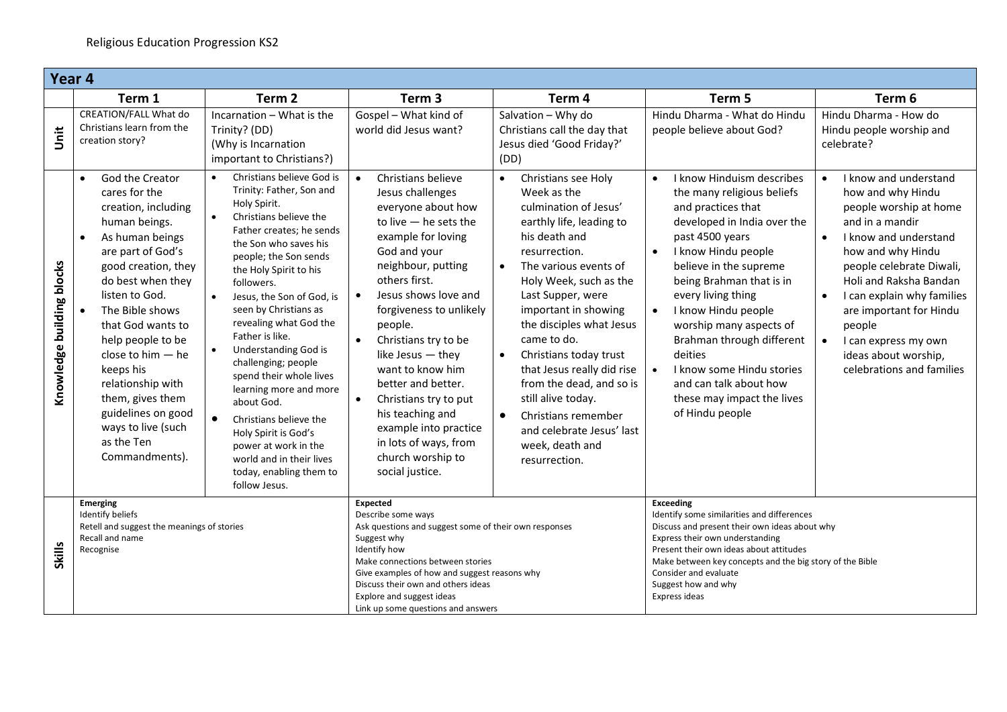|                           | Year <sub>4</sub>                                                                                                                                                                                                                                                                                                                                                                                                              |                                                                                                                                                                                                                                                                                                                                                                                                                                                                                                                                                                                                                               |                                                                                                                                                                                                                                                                                                                                                                                                                                                                                                                      |                                                                                                                                                                                                                                                                                                                                                                                                                                                                                                                            |                                                                                                                                                                                                                                                                                                                                                                                                                                                                             |                                                                                                                                                                                                                                                                                                                                                                                    |  |  |
|---------------------------|--------------------------------------------------------------------------------------------------------------------------------------------------------------------------------------------------------------------------------------------------------------------------------------------------------------------------------------------------------------------------------------------------------------------------------|-------------------------------------------------------------------------------------------------------------------------------------------------------------------------------------------------------------------------------------------------------------------------------------------------------------------------------------------------------------------------------------------------------------------------------------------------------------------------------------------------------------------------------------------------------------------------------------------------------------------------------|----------------------------------------------------------------------------------------------------------------------------------------------------------------------------------------------------------------------------------------------------------------------------------------------------------------------------------------------------------------------------------------------------------------------------------------------------------------------------------------------------------------------|----------------------------------------------------------------------------------------------------------------------------------------------------------------------------------------------------------------------------------------------------------------------------------------------------------------------------------------------------------------------------------------------------------------------------------------------------------------------------------------------------------------------------|-----------------------------------------------------------------------------------------------------------------------------------------------------------------------------------------------------------------------------------------------------------------------------------------------------------------------------------------------------------------------------------------------------------------------------------------------------------------------------|------------------------------------------------------------------------------------------------------------------------------------------------------------------------------------------------------------------------------------------------------------------------------------------------------------------------------------------------------------------------------------|--|--|
|                           | Term 1                                                                                                                                                                                                                                                                                                                                                                                                                         | Term <sub>2</sub>                                                                                                                                                                                                                                                                                                                                                                                                                                                                                                                                                                                                             | Term <sub>3</sub>                                                                                                                                                                                                                                                                                                                                                                                                                                                                                                    | Term 4                                                                                                                                                                                                                                                                                                                                                                                                                                                                                                                     | Term 5                                                                                                                                                                                                                                                                                                                                                                                                                                                                      | Term 6                                                                                                                                                                                                                                                                                                                                                                             |  |  |
| jst                       | <b>CREATION/FALL What do</b><br>Christians learn from the<br>creation story?                                                                                                                                                                                                                                                                                                                                                   | Incarnation - What is the<br>Trinity? (DD)<br>(Why is Incarnation<br>important to Christians?)                                                                                                                                                                                                                                                                                                                                                                                                                                                                                                                                | Gospel - What kind of<br>world did Jesus want?                                                                                                                                                                                                                                                                                                                                                                                                                                                                       | Salvation - Why do<br>Christians call the day that<br>Jesus died 'Good Friday?'<br>(DD)                                                                                                                                                                                                                                                                                                                                                                                                                                    | Hindu Dharma - What do Hindu<br>people believe about God?                                                                                                                                                                                                                                                                                                                                                                                                                   | Hindu Dharma - How do<br>Hindu people worship and<br>celebrate?                                                                                                                                                                                                                                                                                                                    |  |  |
| Knowledge building blocks | God the Creator<br>$\bullet$<br>cares for the<br>creation, including<br>human beings.<br>As human beings<br>$\bullet$<br>are part of God's<br>good creation, they<br>do best when they<br>listen to God.<br>The Bible shows<br>that God wants to<br>help people to be<br>close to $him - he$<br>keeps his<br>relationship with<br>them, gives them<br>guidelines on good<br>ways to live (such<br>as the Ten<br>Commandments). | Christians believe God is<br>Trinity: Father, Son and<br>Holy Spirit.<br>$\bullet$<br>Christians believe the<br>Father creates; he sends<br>the Son who saves his<br>people; the Son sends<br>the Holy Spirit to his<br>followers.<br>Jesus, the Son of God, is<br>$\bullet$<br>seen by Christians as<br>revealing what God the<br>Father is like.<br><b>Understanding God is</b><br>challenging; people<br>spend their whole lives<br>learning more and more<br>about God.<br>Christians believe the<br>Holy Spirit is God's<br>power at work in the<br>world and in their lives<br>today, enabling them to<br>follow Jesus. | Christians believe<br>$\bullet$<br>Jesus challenges<br>everyone about how<br>to live $-$ he sets the<br>example for loving<br>God and your<br>neighbour, putting<br>others first.<br>Jesus shows love and<br>$\bullet$<br>forgiveness to unlikely<br>people.<br>$\bullet$<br>Christians try to be<br>like Jesus - they<br>want to know him<br>better and better.<br>Christians try to put<br>$\bullet$<br>his teaching and<br>example into practice<br>in lots of ways, from<br>church worship to<br>social justice. | Christians see Holy<br>$\bullet$<br>Week as the<br>culmination of Jesus'<br>earthly life, leading to<br>his death and<br>resurrection.<br>The various events of<br>$\bullet$<br>Holy Week, such as the<br>Last Supper, were<br>important in showing<br>the disciples what Jesus<br>came to do.<br>Christians today trust<br>$\bullet$<br>that Jesus really did rise<br>from the dead, and so is<br>still alive today.<br>$\bullet$<br>Christians remember<br>and celebrate Jesus' last<br>week, death and<br>resurrection. | I know Hinduism describes<br>the many religious beliefs<br>and practices that<br>developed in India over the<br>past 4500 years<br>I know Hindu people<br>$\bullet$<br>believe in the supreme<br>being Brahman that is in<br>every living thing<br>I know Hindu people<br>$\bullet$<br>worship many aspects of<br>Brahman through different<br>deities<br>I know some Hindu stories<br>$\bullet$<br>and can talk about how<br>these may impact the lives<br>of Hindu people | I know and understand<br>how and why Hindu<br>people worship at home<br>and in a mandir<br>I know and understand<br>$\bullet$<br>how and why Hindu<br>people celebrate Diwali,<br>Holi and Raksha Bandan<br>I can explain why families<br>$\bullet$<br>are important for Hindu<br>people<br>I can express my own<br>$\bullet$<br>ideas about worship,<br>celebrations and families |  |  |
| Skills                    | Emerging<br>Identify beliefs<br>Retell and suggest the meanings of stories<br>Recall and name<br>Recognise                                                                                                                                                                                                                                                                                                                     |                                                                                                                                                                                                                                                                                                                                                                                                                                                                                                                                                                                                                               | <b>Expected</b><br>Describe some ways<br>Ask questions and suggest some of their own responses<br>Suggest why<br>Identify how<br>Make connections between stories<br>Give examples of how and suggest reasons why<br>Discuss their own and others ideas<br>Explore and suggest ideas<br>Link up some questions and answers                                                                                                                                                                                           |                                                                                                                                                                                                                                                                                                                                                                                                                                                                                                                            | Exceeding<br>Identify some similarities and differences<br>Discuss and present their own ideas about why<br>Express their own understanding<br>Present their own ideas about attitudes<br>Make between key concepts and the big story of the Bible<br>Consider and evaluate<br>Suggest how and why<br>Express ideas                                                                                                                                                         |                                                                                                                                                                                                                                                                                                                                                                                    |  |  |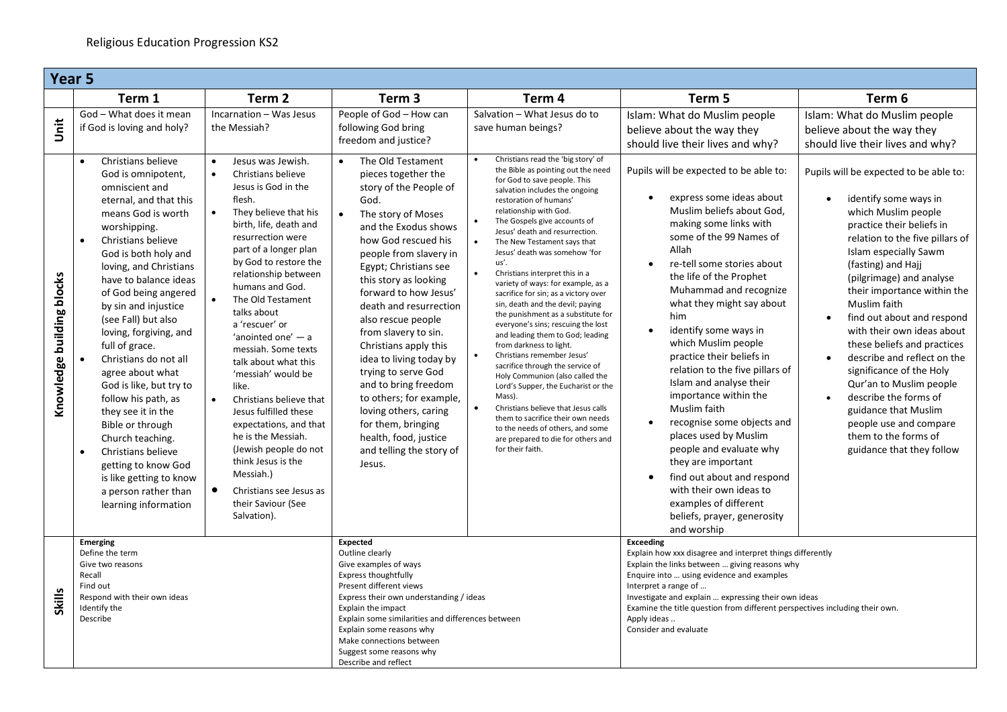|                                   | Year <sub>5</sub>                                                                                                                                                                                                                                                                                                                                                                                                                                          |                                                                                                                                                                                                                                                                                                                                                                                                                                               |                                                                                                                                                                                                                                                                                                                                                                                                                                                            |                                                                                                                                                                                                                                                                                                                                                                                                                                                                                                                                                                                                                                                                                                                                                                                 |                                                                                                                                                                                                                                                                                                                                                                                                                                                                                                            |                                                                                                                                                                                                                                                                                                                                                                                                                                                                                                              |  |  |
|-----------------------------------|------------------------------------------------------------------------------------------------------------------------------------------------------------------------------------------------------------------------------------------------------------------------------------------------------------------------------------------------------------------------------------------------------------------------------------------------------------|-----------------------------------------------------------------------------------------------------------------------------------------------------------------------------------------------------------------------------------------------------------------------------------------------------------------------------------------------------------------------------------------------------------------------------------------------|------------------------------------------------------------------------------------------------------------------------------------------------------------------------------------------------------------------------------------------------------------------------------------------------------------------------------------------------------------------------------------------------------------------------------------------------------------|---------------------------------------------------------------------------------------------------------------------------------------------------------------------------------------------------------------------------------------------------------------------------------------------------------------------------------------------------------------------------------------------------------------------------------------------------------------------------------------------------------------------------------------------------------------------------------------------------------------------------------------------------------------------------------------------------------------------------------------------------------------------------------|------------------------------------------------------------------------------------------------------------------------------------------------------------------------------------------------------------------------------------------------------------------------------------------------------------------------------------------------------------------------------------------------------------------------------------------------------------------------------------------------------------|--------------------------------------------------------------------------------------------------------------------------------------------------------------------------------------------------------------------------------------------------------------------------------------------------------------------------------------------------------------------------------------------------------------------------------------------------------------------------------------------------------------|--|--|
|                                   | Term 1                                                                                                                                                                                                                                                                                                                                                                                                                                                     | Term <sub>2</sub>                                                                                                                                                                                                                                                                                                                                                                                                                             | Term 3                                                                                                                                                                                                                                                                                                                                                                                                                                                     | Term 4                                                                                                                                                                                                                                                                                                                                                                                                                                                                                                                                                                                                                                                                                                                                                                          | Term 5                                                                                                                                                                                                                                                                                                                                                                                                                                                                                                     | Term 6                                                                                                                                                                                                                                                                                                                                                                                                                                                                                                       |  |  |
| jnit<br>Knowledge building blocks | God - What does it mean<br>if God is loving and holy?<br>Christians believe<br>$\bullet$<br>God is omnipotent,<br>omniscient and<br>eternal, and that this<br>means God is worth<br>worshipping.<br>Christians believe<br>$\bullet$<br>God is both holy and<br>loving, and Christians<br>have to balance ideas<br>of God being angered<br>by sin and injustice<br>(see Fall) but also<br>loving, forgiving, and<br>full of grace.<br>Christians do not all | Incarnation - Was Jesus<br>the Messiah?<br>Jesus was Jewish.<br>$\bullet$<br>Christians believe<br>$\bullet$<br>Jesus is God in the<br>flesh.<br>They believe that his<br>birth, life, death and<br>resurrection were<br>part of a longer plan<br>by God to restore the<br>relationship between<br>humans and God.<br>The Old Testament<br>talks about<br>a 'rescuer' or<br>'anointed one' - a<br>messiah. Some texts<br>talk about what this | People of God - How can<br>following God bring<br>freedom and justice?<br>The Old Testament<br>pieces together the<br>story of the People of<br>God.<br>The story of Moses<br>and the Exodus shows<br>how God rescued his<br>people from slavery in<br>Egypt; Christians see<br>this story as looking<br>forward to how Jesus'<br>death and resurrection<br>also rescue people<br>from slavery to sin.<br>Christians apply this<br>idea to living today by | Salvation - What Jesus do to<br>save human beings?<br>Christians read the 'big story' of<br>$\bullet$<br>the Bible as pointing out the need<br>for God to save people. This<br>salvation includes the ongoing<br>restoration of humans'<br>relationship with God.<br>The Gospels give accounts of<br>Jesus' death and resurrection.<br>$\bullet$<br>The New Testament says that<br>Jesus' death was somehow 'for<br>us'.<br>$\bullet$<br>Christians interpret this in a<br>variety of ways: for example, as a<br>sacrifice for sin; as a victory over<br>sin, death and the devil; paying<br>the punishment as a substitute for<br>everyone's sins; rescuing the lost<br>and leading them to God; leading<br>from darkness to light.<br>$\bullet$<br>Christians remember Jesus' | Islam: What do Muslim people<br>believe about the way they<br>should live their lives and why?<br>Pupils will be expected to be able to:<br>express some ideas about<br>$\bullet$<br>Muslim beliefs about God,<br>making some links with<br>some of the 99 Names of<br>Allah<br>re-tell some stories about<br>$\bullet$<br>the life of the Prophet<br>Muhammad and recognize<br>what they might say about<br>him<br>identify some ways in<br>$\bullet$<br>which Muslim people<br>practice their beliefs in | Islam: What do Muslim people<br>believe about the way they<br>should live their lives and why?<br>Pupils will be expected to be able to:<br>identify some ways in<br>which Muslim people<br>practice their beliefs in<br>relation to the five pillars of<br>Islam especially Sawm<br>(fasting) and Hajj<br>(pilgrimage) and analyse<br>their importance within the<br>Muslim faith<br>find out about and respond<br>with their own ideas about<br>these beliefs and practices<br>describe and reflect on the |  |  |
|                                   | agree about what<br>God is like, but try to<br>follow his path, as<br>they see it in the<br>Bible or through<br>Church teaching.<br>Christians believe<br>getting to know God<br>is like getting to know<br>a person rather than<br>learning information                                                                                                                                                                                                   | 'messiah' would be<br>like.<br>Christians believe that<br>$\bullet$<br>Jesus fulfilled these<br>expectations, and that<br>he is the Messiah.<br>(Jewish people do not<br>think Jesus is the<br>Messiah.)<br>Christians see Jesus as<br>their Saviour (See<br>Salvation).                                                                                                                                                                      | trying to serve God<br>and to bring freedom<br>to others; for example,<br>loving others, caring<br>for them, bringing<br>health, food, justice<br>and telling the story of<br>Jesus.                                                                                                                                                                                                                                                                       | sacrifice through the service of<br>Holy Communion (also called the<br>Lord's Supper, the Eucharist or the<br>Mass).<br>$\bullet$<br>Christians believe that Jesus calls<br>them to sacrifice their own needs<br>to the needs of others, and some<br>are prepared to die for others and<br>for their faith.                                                                                                                                                                                                                                                                                                                                                                                                                                                                     | relation to the five pillars of<br>Islam and analyse their<br>importance within the<br>Muslim faith<br>recognise some objects and<br>$\bullet$<br>places used by Muslim<br>people and evaluate why<br>they are important<br>find out about and respond<br>$\bullet$<br>with their own ideas to<br>examples of different<br>beliefs, prayer, generosity<br>and worship                                                                                                                                      | significance of the Holy<br>Qur'an to Muslim people<br>describe the forms of<br>guidance that Muslim<br>people use and compare<br>them to the forms of<br>guidance that they follow                                                                                                                                                                                                                                                                                                                          |  |  |
| <b>Skills</b>                     | Emerging<br>Define the term<br>Give two reasons<br>Recall<br>Find out<br>Respond with their own ideas<br>Identify the<br>Describe                                                                                                                                                                                                                                                                                                                          |                                                                                                                                                                                                                                                                                                                                                                                                                                               | Expected<br>Outline clearly<br>Give examples of ways<br>Express thoughtfully<br>Present different views<br>Express their own understanding / ideas<br>Explain the impact<br>Explain some similarities and differences between<br>Explain some reasons why<br>Make connections between<br>Suggest some reasons why<br>Describe and reflect                                                                                                                  |                                                                                                                                                                                                                                                                                                                                                                                                                                                                                                                                                                                                                                                                                                                                                                                 | <b>Exceeding</b><br>Explain how xxx disagree and interpret things differently<br>Explain the links between  giving reasons why<br>Enquire into  using evidence and examples<br>Interpret a range of<br>Investigate and explain  expressing their own ideas<br>Examine the title question from different perspectives including their own.<br>Apply ideas<br>Consider and evaluate                                                                                                                          |                                                                                                                                                                                                                                                                                                                                                                                                                                                                                                              |  |  |